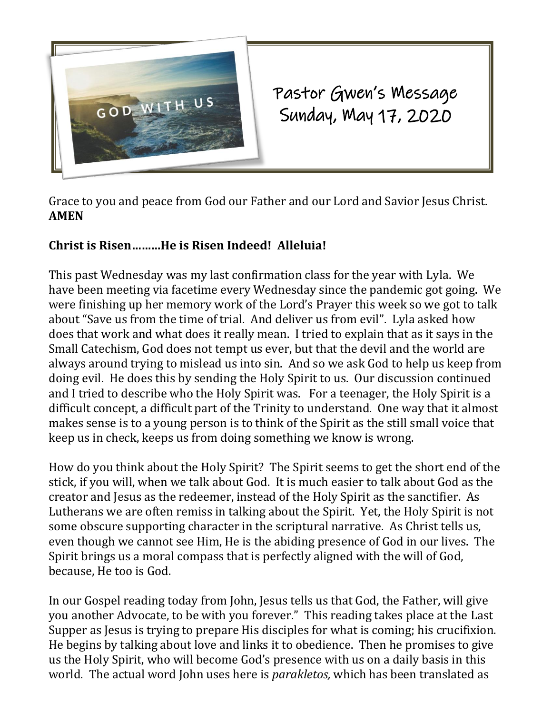

Pastor Gwen's Message Sunday, May 17, 2020

Grace to you and peace from God our Father and our Lord and Savior Jesus Christ. **AMEN**

## **Christ is Risen………He is Risen Indeed! Alleluia!**

This past Wednesday was my last confirmation class for the year with Lyla. We have been meeting via facetime every Wednesday since the pandemic got going. We were finishing up her memory work of the Lord's Prayer this week so we got to talk about "Save us from the time of trial. And deliver us from evil". Lyla asked how does that work and what does it really mean. I tried to explain that as it says in the Small Catechism, God does not tempt us ever, but that the devil and the world are always around trying to mislead us into sin. And so we ask God to help us keep from doing evil. He does this by sending the Holy Spirit to us. Our discussion continued and I tried to describe who the Holy Spirit was. For a teenager, the Holy Spirit is a difficult concept, a difficult part of the Trinity to understand. One way that it almost makes sense is to a young person is to think of the Spirit as the still small voice that keep us in check, keeps us from doing something we know is wrong.

How do you think about the Holy Spirit? The Spirit seems to get the short end of the stick, if you will, when we talk about God. It is much easier to talk about God as the creator and Jesus as the redeemer, instead of the Holy Spirit as the sanctifier. As Lutherans we are often remiss in talking about the Spirit. Yet, the Holy Spirit is not some obscure supporting character in the scriptural narrative. As Christ tells us, even though we cannot see Him, He is the abiding presence of God in our lives. The Spirit brings us a moral compass that is perfectly aligned with the will of God, because, He too is God.

In our Gospel reading today from John, Jesus tells us that God, the Father, will give you another Advocate, to be with you forever." This reading takes place at the Last Supper as Jesus is trying to prepare His disciples for what is coming; his crucifixion. He begins by talking about love and links it to obedience. Then he promises to give us the Holy Spirit, who will become God's presence with us on a daily basis in this world. The actual word John uses here is *parakletos,* which has been translated as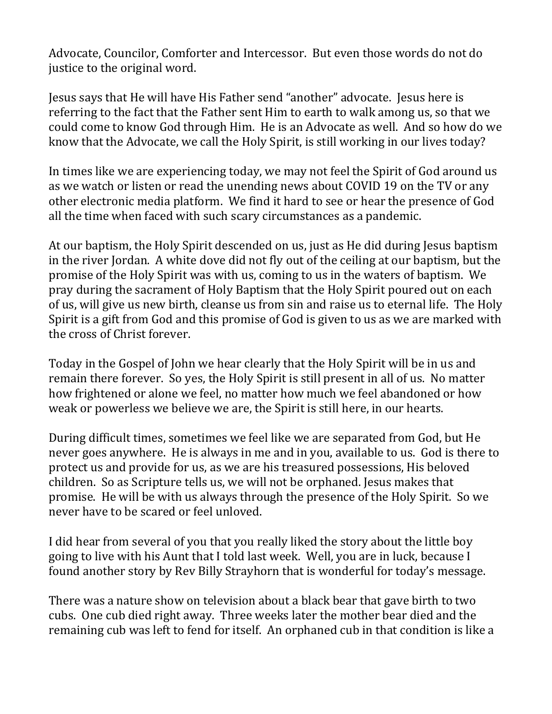Advocate, Councilor, Comforter and Intercessor. But even those words do not do justice to the original word.

Jesus says that He will have His Father send "another" advocate. Jesus here is referring to the fact that the Father sent Him to earth to walk among us, so that we could come to know God through Him. He is an Advocate as well. And so how do we know that the Advocate, we call the Holy Spirit, is still working in our lives today?

In times like we are experiencing today, we may not feel the Spirit of God around us as we watch or listen or read the unending news about COVID 19 on the TV or any other electronic media platform. We find it hard to see or hear the presence of God all the time when faced with such scary circumstances as a pandemic.

At our baptism, the Holy Spirit descended on us, just as He did during Jesus baptism in the river Jordan. A white dove did not fly out of the ceiling at our baptism, but the promise of the Holy Spirit was with us, coming to us in the waters of baptism. We pray during the sacrament of Holy Baptism that the Holy Spirit poured out on each of us, will give us new birth, cleanse us from sin and raise us to eternal life. The Holy Spirit is a gift from God and this promise of God is given to us as we are marked with the cross of Christ forever.

Today in the Gospel of John we hear clearly that the Holy Spirit will be in us and remain there forever. So yes, the Holy Spirit is still present in all of us. No matter how frightened or alone we feel, no matter how much we feel abandoned or how weak or powerless we believe we are, the Spirit is still here, in our hearts.

During difficult times, sometimes we feel like we are separated from God, but He never goes anywhere. He is always in me and in you, available to us. God is there to protect us and provide for us, as we are his treasured possessions, His beloved children. So as Scripture tells us, we will not be orphaned. Jesus makes that promise. He will be with us always through the presence of the Holy Spirit. So we never have to be scared or feel unloved.

I did hear from several of you that you really liked the story about the little boy going to live with his Aunt that I told last week. Well, you are in luck, because I found another story by Rev Billy Strayhorn that is wonderful for today's message.

There was a nature show on television about a black bear that gave birth to two cubs. One cub died right away. Three weeks later the mother bear died and the remaining cub was left to fend for itself. An orphaned cub in that condition is like a